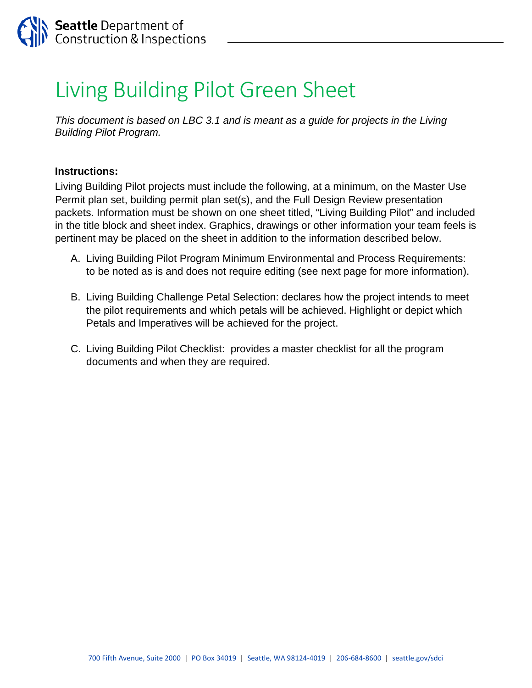## Living Building Pilot Green Sheet

*This document is based on LBC 3.1 and is meant as a guide for projects in the Living Building Pilot Program.* 

## **Instructions:**

Living Building Pilot projects must include the following, at a minimum, on the Master Use Permit plan set, building permit plan set(s), and the Full Design Review presentation packets. Information must be shown on one sheet titled, "Living Building Pilot" and included in the title block and sheet index. Graphics, drawings or other information your team feels is pertinent may be placed on the sheet in addition to the information described below.

- A. Living Building Pilot Program Minimum Environmental and Process Requirements: to be noted as is and does not require editing (see next page for more information).
- B. Living Building Challenge Petal Selection: declares how the project intends to meet the pilot requirements and which petals will be achieved. Highlight or depict which Petals and Imperatives will be achieved for the project.
- C. Living Building Pilot Checklist: provides a master checklist for all the program documents and when they are required.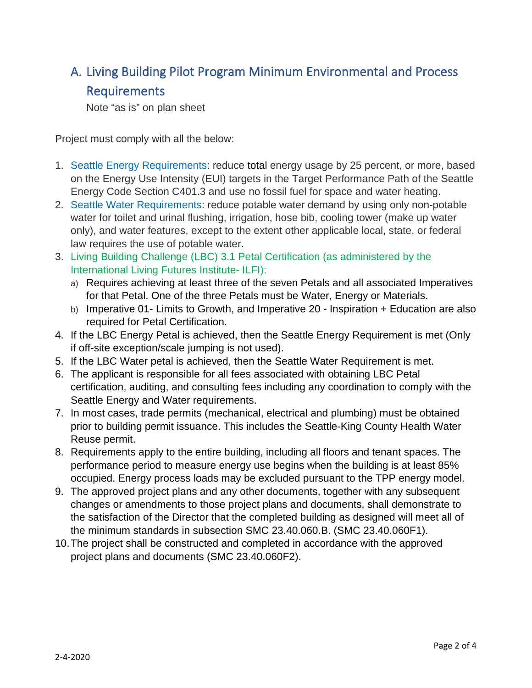## A. Living Building Pilot Program Minimum Environmental and Process Requirements

Note "as is" on plan sheet

Project must comply with all the below:

- 1. Seattle Energy Requirements: reduce total energy usage by 25 percent, or more, based on the Energy Use Intensity (EUI) targets in the Target Performance Path of the Seattle Energy Code Section C401.3 and use no fossil fuel for space and water heating.
- 2. Seattle Water Requirements: reduce potable water demand by using only non-potable water for toilet and urinal flushing, irrigation, hose bib, cooling tower (make up water only), and water features, except to the extent other applicable local, state, or federal law requires the use of potable water.
- 3. Living Building Challenge (LBC) 3.1 Petal Certification (as administered by the International Living Futures Institute- ILFI):
	- a) Requires achieving at least three of the seven Petals and all associated Imperatives for that Petal. One of the three Petals must be Water, Energy or Materials.
	- b) Imperative 01- Limits to Growth, and Imperative 20 Inspiration + Education are also required for Petal Certification.
- 4. If the LBC Energy Petal is achieved, then the Seattle Energy Requirement is met (Only if off-site exception/scale jumping is not used).
- 5. If the LBC Water petal is achieved, then the Seattle Water Requirement is met.
- 6. The applicant is responsible for all fees associated with obtaining LBC Petal certification, auditing, and consulting fees including any coordination to comply with the Seattle Energy and Water requirements.
- 7. In most cases, trade permits (mechanical, electrical and plumbing) must be obtained prior to building permit issuance. This includes the Seattle-King County Health Water Reuse permit.
- 8. Requirements apply to the entire building, including all floors and tenant spaces. The performance period to measure energy use begins when the building is at least 85% occupied. Energy process loads may be excluded pursuant to the TPP energy model.
- 9. The approved project plans and any other documents, together with any subsequent changes or amendments to those project plans and documents, shall demonstrate to the satisfaction of the Director that the completed building as designed will meet all of the minimum standards in subsection SMC 23.40.060.B. (SMC 23.40.060F1).
- 10.The project shall be constructed and completed in accordance with the approved project plans and documents (SMC 23.40.060F2).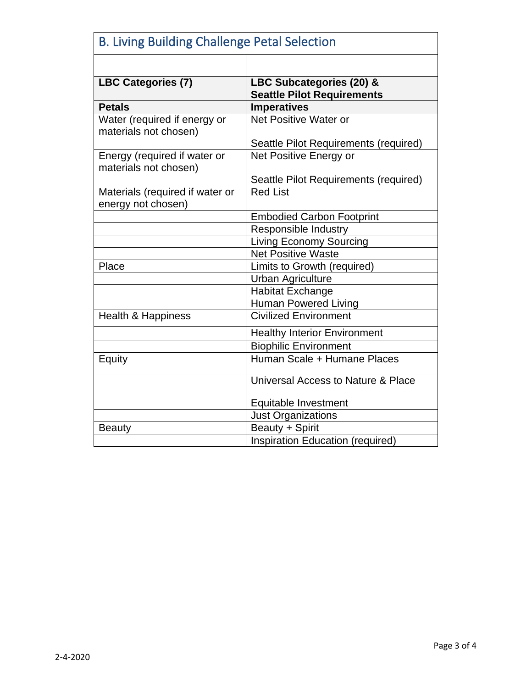| <b>B. Living Building Challenge Petal Selection</b>   |                                                               |
|-------------------------------------------------------|---------------------------------------------------------------|
|                                                       |                                                               |
| <b>LBC Categories (7)</b>                             | LBC Subcategories (20) &<br><b>Seattle Pilot Requirements</b> |
| <b>Petals</b>                                         | <b>Imperatives</b>                                            |
| Water (required if energy or<br>materials not chosen) | Net Positive Water or                                         |
|                                                       | Seattle Pilot Requirements (required)                         |
| Energy (required if water or<br>materials not chosen) | Net Positive Energy or                                        |
|                                                       | Seattle Pilot Requirements (required)                         |
| Materials (required if water or<br>energy not chosen) | <b>Red List</b>                                               |
|                                                       | <b>Embodied Carbon Footprint</b>                              |
|                                                       | Responsible Industry                                          |
|                                                       | <b>Living Economy Sourcing</b>                                |
|                                                       | <b>Net Positive Waste</b>                                     |
| Place                                                 | Limits to Growth (required)                                   |
|                                                       | <b>Urban Agriculture</b>                                      |
|                                                       | <b>Habitat Exchange</b>                                       |
|                                                       | <b>Human Powered Living</b>                                   |
| <b>Health &amp; Happiness</b>                         | <b>Civilized Environment</b>                                  |
|                                                       | <b>Healthy Interior Environment</b>                           |
|                                                       | <b>Biophilic Environment</b>                                  |
| Equity                                                | Human Scale + Humane Places                                   |
|                                                       | Universal Access to Nature & Place                            |
|                                                       | Equitable Investment                                          |
|                                                       | Just Organizations                                            |
| <b>Beauty</b>                                         | Beauty + Spirit                                               |
|                                                       | Inspiration Education (required)                              |